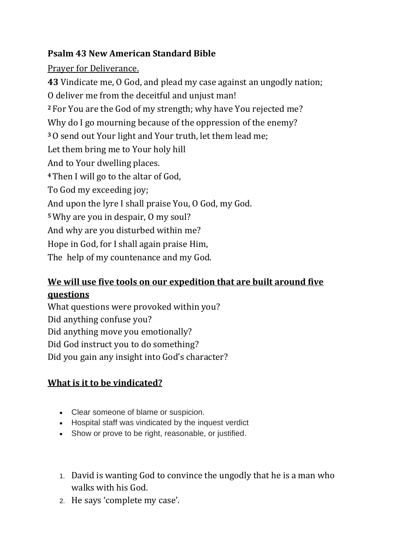## **Psalm 43 New American Standard Bible**

## Prayer for Deliverance.

**43** Vindicate me, O God, and plead my case against an ungodly nation; O deliver me from the deceitful and unjust man! **<sup>2</sup>** For You are the God of my strength; why have You rejected me? Why do I go mourning because of the oppression of the enemy? **<sup>3</sup>**O send out Your light and Your truth, let them lead me; Let them bring me to Your holy hill And to Your dwelling places. **<sup>4</sup>**Then I will go to the altar of God, To God my exceeding joy; And upon the lyre I shall praise You, O God, my God. **<sup>5</sup>**Why are you in despair, O my soul? And why are you disturbed within me? Hope in God, for I shall again praise Him, The help of my countenance and my God.

## **We will use five tools on our expedition that are built around five questions**

What questions were provoked within you? Did anything confuse you? Did anything move you emotionally? Did God instruct you to do something? Did you gain any insight into God's character?

## **What is it to be vindicated?**

- Clear someone of blame or suspicion.
- Hospital staff was vindicated by the inquest verdict
- Show or prove to be right, reasonable, or justified.
- 1. David is wanting God to convince the ungodly that he is a man who walks with his God.
- 2. He says 'complete my case'.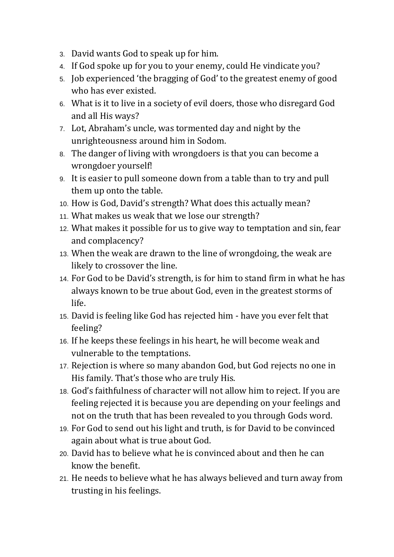- 3. David wants God to speak up for him.
- 4. If God spoke up for you to your enemy, could He vindicate you?
- 5. Job experienced 'the bragging of God' to the greatest enemy of good who has ever existed.
- 6. What is it to live in a society of evil doers, those who disregard God and all His ways?
- 7. Lot, Abraham's uncle, was tormented day and night by the unrighteousness around him in Sodom.
- 8. The danger of living with wrongdoers is that you can become a wrongdoer yourself!
- 9. It is easier to pull someone down from a table than to try and pull them up onto the table.
- 10. How is God, David's strength? What does this actually mean?
- 11. What makes us weak that we lose our strength?
- 12. What makes it possible for us to give way to temptation and sin, fear and complacency?
- 13. When the weak are drawn to the line of wrongdoing, the weak are likely to crossover the line.
- 14. For God to be David's strength, is for him to stand firm in what he has always known to be true about God, even in the greatest storms of life.
- 15. David is feeling like God has rejected him have you ever felt that feeling?
- 16. If he keeps these feelings in his heart, he will become weak and vulnerable to the temptations.
- 17. Rejection is where so many abandon God, but God rejects no one in His family. That's those who are truly His.
- 18. God's faithfulness of character will not allow him to reject. If you are feeling rejected it is because you are depending on your feelings and not on the truth that has been revealed to you through Gods word.
- 19. For God to send out his light and truth, is for David to be convinced again about what is true about God.
- 20. David has to believe what he is convinced about and then he can know the benefit.
- 21. He needs to believe what he has always believed and turn away from trusting in his feelings.